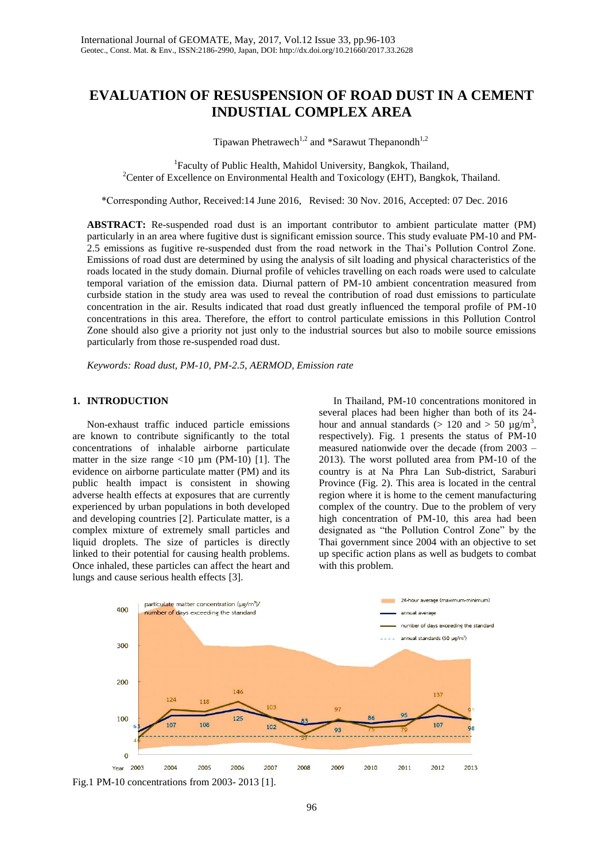# **EVALUATION OF RESUSPENSION OF ROAD DUST IN A CEMENT INDUSTIAL COMPLEX AREA**

Tipawan Phetrawech<sup>1,2</sup> and \*Sarawut Thepanondh<sup>1,2</sup>

<sup>1</sup>Faculty of Public Health, Mahidol University, Bangkok, Thailand, <sup>2</sup>Center of Excellence on Environmental Health and Toxicology (EHT), Bangkok, Thailand.

\*Corresponding Author, Received:14 June 2016, Revised: 30 Nov. 2016, Accepted: 07 Dec. 2016

**ABSTRACT:** Re-suspended road dust is an important contributor to ambient particulate matter (PM) particularly in an area where fugitive dust is significant emission source. This study evaluate PM-10 and PM-2.5 emissions as fugitive re-suspended dust from the road network in the Thai's Pollution Control Zone. Emissions of road dust are determined by using the analysis of silt loading and physical characteristics of the roads located in the study domain. Diurnal profile of vehicles travelling on each roads were used to calculate temporal variation of the emission data. Diurnal pattern of PM-10 ambient concentration measured from curbside station in the study area was used to reveal the contribution of road dust emissions to particulate concentration in the air. Results indicated that road dust greatly influenced the temporal profile of PM-10 concentrations in this area. Therefore, the effort to control particulate emissions in this Pollution Control Zone should also give a priority not just only to the industrial sources but also to mobile source emissions particularly from those re-suspended road dust.

*Keywords: Road dust, PM-10, PM-2.5, AERMOD, Emission rate*

#### **1. INTRODUCTION**

Non-exhaust traffic induced particle emissions are known to contribute significantly to the total concentrations of inhalable airborne particulate matter in the size range  $\langle 10 \mu m (PM-10) [1]$ . The evidence on airborne particulate matter (PM) and its public health impact is consistent in showing adverse health effects at exposures that are currently experienced by urban populations in both developed and developing countries [2]. Particulate matter, is a complex mixture of extremely small particles and liquid droplets. The size of particles is directly linked to their potential for causing health problems. Once inhaled, these particles can affect the heart and lungs and cause serious health effects [3].

In Thailand, PM-10 concentrations monitored in several places had been higher than both of its 24 hour and annual standards ( $> 120$  and  $> 50 \mu g/m^3$ , respectively). Fig. 1 presents the status of PM-10 measured nationwide over the decade (from 2003 – 2013). The worst polluted area from PM-10 of the country is at Na Phra Lan Sub-district, Saraburi Province (Fig. 2). This area is located in the central region where it is home to the cement manufacturing complex of the country. Due to the problem of very high concentration of PM-10, this area had been designated as "the Pollution Control Zone" by the Thai government since 2004 with an objective to set up specific action plans as well as budgets to combat with this problem.



Fig.1 PM-10 concentrations from 2003- 2013 [1].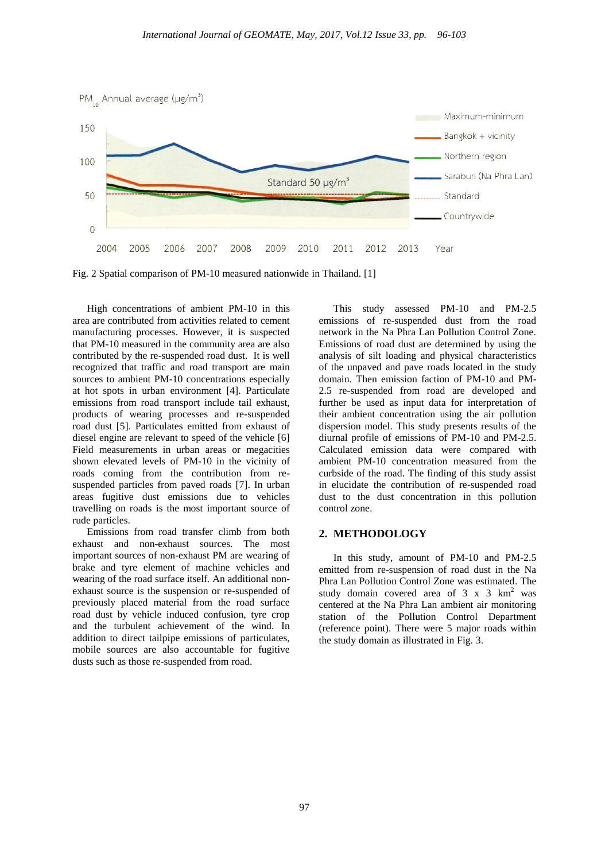

Fig. 2 Spatial comparison of PM-10 measured nationwide in Thailand. [1]

High concentrations of ambient PM-10 in this area are contributed from activities related to cement manufacturing processes. However, it is suspected that PM-10 measured in the community area are also contributed by the re-suspended road dust. It is well recognized that traffic and road transport are main sources to ambient PM-10 concentrations especially at hot spots in urban environment [4]. Particulate emissions from road transport include tail exhaust, products of wearing processes and re-suspended road dust [5]. Particulates emitted from exhaust of diesel engine are relevant to speed of the vehicle [6] Field measurements in urban areas or megacities shown elevated levels of PM-10 in the vicinity of roads coming from the contribution from resuspended particles from paved roads [7]. In urban areas fugitive dust emissions due to vehicles travelling on roads is the most important source of rude particles.

Emissions from road transfer climb from both exhaust and non-exhaust sources. The most important sources of non-exhaust PM are wearing of brake and tyre element of machine vehicles and wearing of the road surface itself. An additional nonexhaust source is the suspension or re-suspended of previously placed material from the road surface road dust by vehicle induced confusion, tyre crop and the turbulent achievement of the wind. In addition to direct tailpipe emissions of particulates, mobile sources are also accountable for fugitive dusts such as those re-suspended from road.

This study assessed PM-10 and PM-2.5 emissions of re-suspended dust from the road network in the Na Phra Lan Pollution Control Zone. Emissions of road dust are determined by using the analysis of silt loading and physical characteristics of the unpaved and pave roads located in the study domain. Then emission faction of PM-10 and PM-2.5 re-suspended from road are developed and further be used as input data for interpretation of their ambient concentration using the air pollution dispersion model. This study presents results of the diurnal profile of emissions of PM-10 and PM-2.5. Calculated emission data were compared with ambient PM-10 concentration measured from the curbside of the road. The finding of this study assist in elucidate the contribution of re-suspended road dust to the dust concentration in this pollution control zone.

# **2. METHODOLOGY** Ī

 In this study, amount of PM-10 and PM-2.5 emitted from re-suspension of road dust in the Na Phra Lan Pollution Control Zone was estimated. The study domain covered area of  $3 \times 3$  km<sup>2</sup> was centered at the Na Phra Lan ambient air monitoring station of the Pollution Control Department (reference point). There were 5 major roads within the study domain as illustrated in Fig. 3.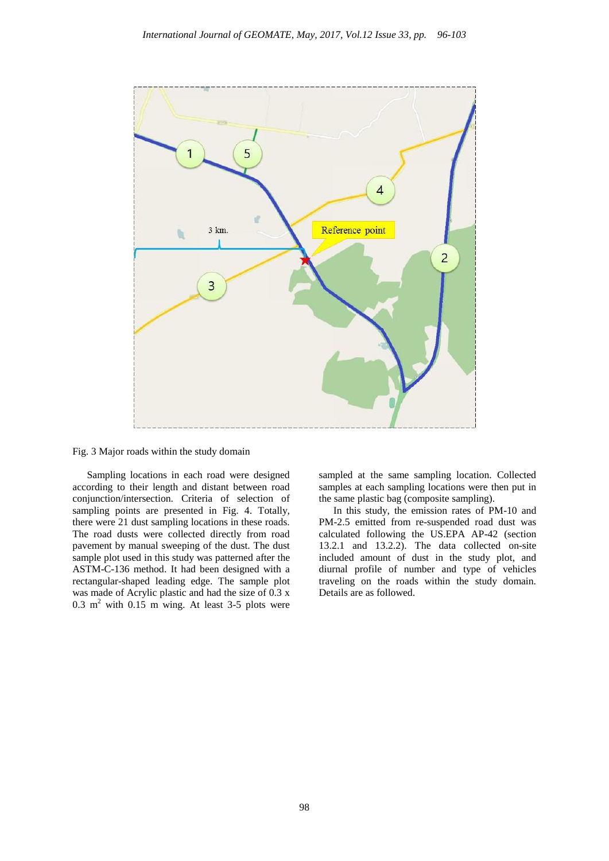

Fig. 3 Major roads within the study domain

Sampling locations in each road were designed according to their length and distant between road conjunction/intersection. Criteria of selection of sampling points are presented in Fig. 4. Totally, there were 21 dust sampling locations in these roads. The road dusts were collected directly from road pavement by manual sweeping of the dust. The dust sample plot used in this study was patterned after the ASTM-C-136 method. It had been designed with a rectangular-shaped leading edge. The sample plot was made of Acrylic plastic and had the size of 0.3 x 0.3  $m<sup>2</sup>$  with 0.15 m wing. At least 3-5 plots were

sampled at the same sampling location. Collected samples at each sampling locations were then put in the same plastic bag (composite sampling).

In this study, the emission rates of PM-10 and PM-2.5 emitted from re-suspended road dust was calculated following the US.EPA AP-42 (section 13.2.1 and 13.2.2). The data collected on-site included amount of dust in the study plot, and diurnal profile of number and type of vehicles traveling on the roads within the study domain. Details are as followed.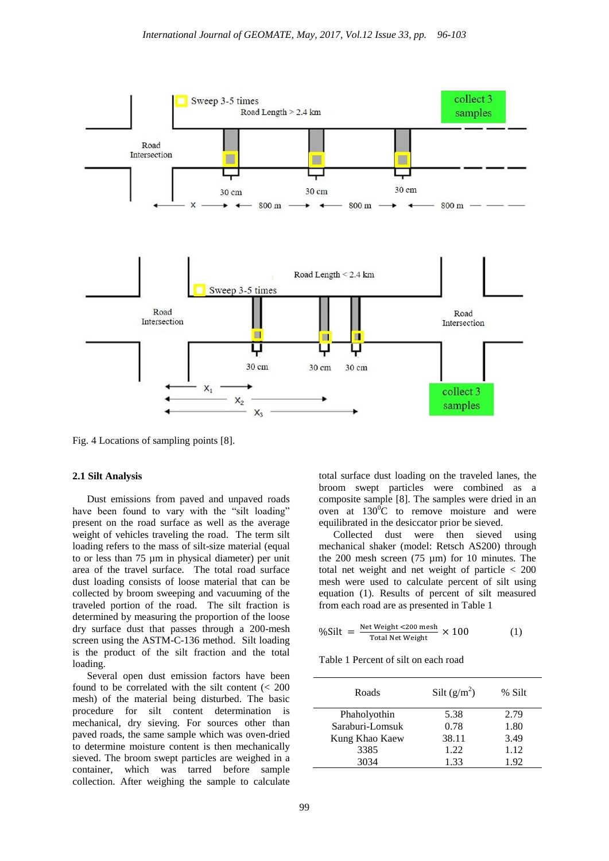

Fig. 4 Locations of sampling points [8].

### **2.1 Silt Analysis**

Dust emissions from paved and unpaved roads have been found to vary with the "silt loading" present on the road surface as well as the average weight of vehicles traveling the road. The term silt loading refers to the mass of silt-size material (equal to or less than 75 µm in physical diameter) per unit area of the travel surface. The total road surface dust loading consists of loose material that can be collected by broom sweeping and vacuuming of the traveled portion of the road. The silt fraction is determined by measuring the proportion of the loose dry surface dust that passes through a 200-mesh screen using the ASTM-C-136 method. Silt loading is the product of the silt fraction and the total loading.

Several open dust emission factors have been found to be correlated with the silt content (< 200 mesh) of the material being disturbed. The basic procedure for silt content determination is mechanical, dry sieving. For sources other than paved roads, the same sample which was oven-dried to determine moisture content is then mechanically sieved. The broom swept particles are weighed in a container, which was tarred before sample collection. After weighing the sample to calculate

total surface dust loading on the traveled lanes, the broom swept particles were combined as a composite sample [8]. The samples were dried in an oven at  $130^{\circ}$ C to remove moisture and were equilibrated in the desiccator prior be sieved.

Collected dust were then sieved using mechanical shaker (model: Retsch AS200) through the 200 mesh screen (75 µm) for 10 minutes. The total net weight and net weight of particle < 200 mesh were used to calculate percent of silt using equation (1). Results of percent of silt measured from each road are as presented in Table 1

$$
\%Silt = \frac{\text{Net Weight} < 200 \text{ mesh}}{\text{Total Net Weight}} \times 100 \tag{1}
$$

Table 1 Percent of silt on each road

| Roads           | Silt $(g/m^2)$ | % Silt |
|-----------------|----------------|--------|
| Phaholyothin    | 5.38           | 2.79   |
| Saraburi-Lomsuk | 0.78           | 1.80   |
| Kung Khao Kaew  | 38.11          | 3.49   |
| 3385            | 1.22.          | 1.12   |
| 3034            | 133            | 1.92   |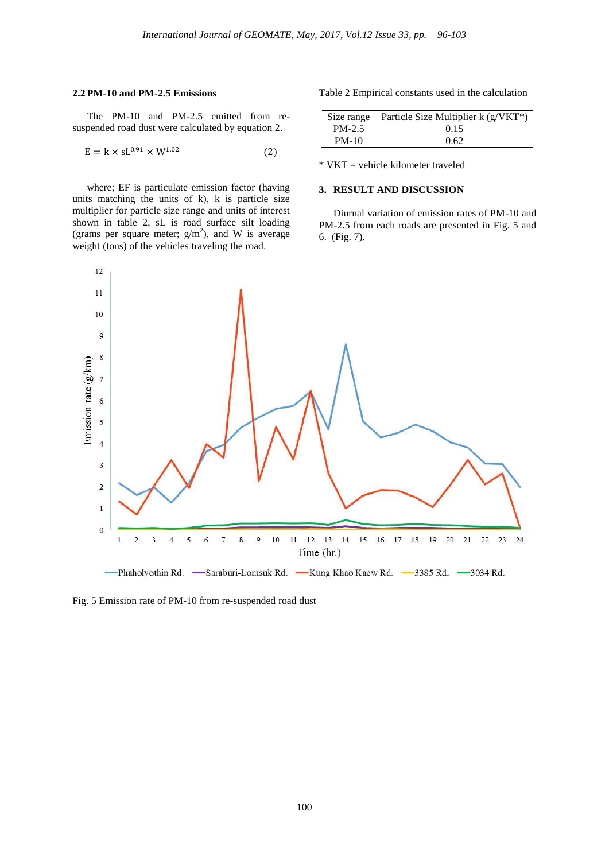#### **2.2 PM-10 and PM-2.5 Emissions**

The PM-10 and PM-2.5 emitted from resuspended road dust were calculated by equation 2.

$$
E = k \times sL^{0.91} \times W^{1.02}
$$
 (2)

where; EF is particulate emission factor (having units matching the units of k), k is particle size multiplier for particle size range and units of interest shown in table 2, sL is road surface silt loading (grams per square meter;  $g/m<sup>2</sup>$ ), and W is average weight (tons) of the vehicles traveling the road.

Table 2 Empirical constants used in the calculation

|        | Size range Particle Size Multiplier $k(g/VKT^*)$ |
|--------|--------------------------------------------------|
| PM-2.5 | 0.15                                             |
| PM-10  | 0.62                                             |

 $*$  VKT = vehicle kilometer traveled

### **3. RESULT AND DISCUSSION**

Diurnal variation of emission rates of PM-10 and PM-2.5 from each roads are presented in Fig. 5 and 6. (Fig. 7).



Fig. 5 Emission rate of PM-10 from re-suspended road dust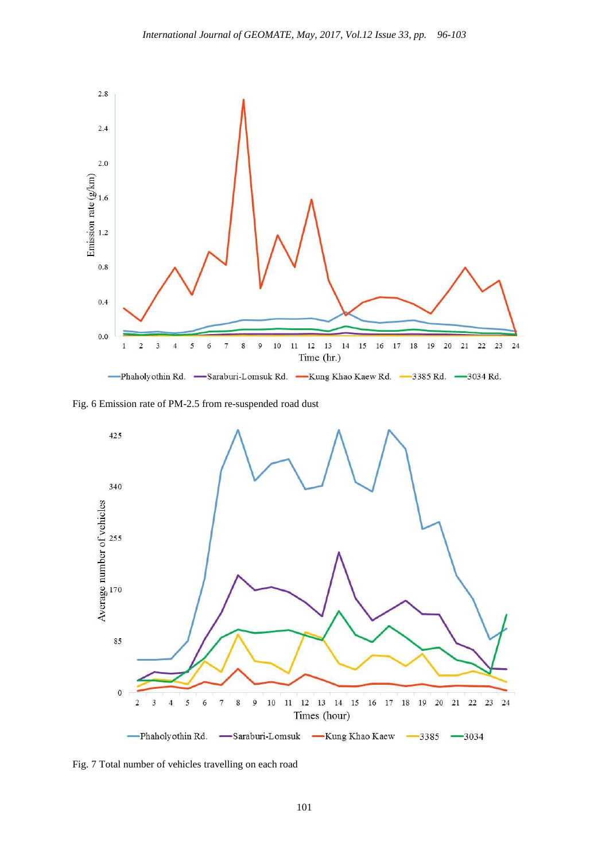

Fig. 6 Emission rate of PM-2.5 from re-suspended road dust



Fig. 7 Total number of vehicles travelling on each road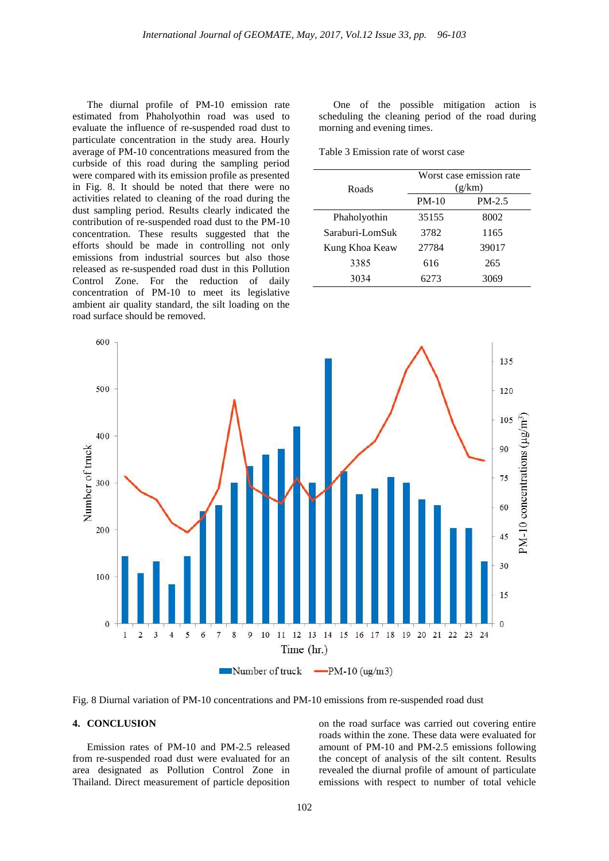The diurnal profile of PM-10 emission rate estimated from Phaholyothin road was used to evaluate the influence of re-suspended road dust to particulate concentration in the study area. Hourly average of PM-10 concentrations measured from the curbside of this road during the sampling period were compared with its emission profile as presented in Fig. 8. It should be noted that there were no activities related to cleaning of the road during the dust sampling period. Results clearly indicated the contribution of re-suspended road dust to the PM-10 concentration. These results suggested that the efforts should be made in controlling not only emissions from industrial sources but also those released as re-suspended road dust in this Pollution Control Zone. For the reduction of daily concentration of PM-10 to meet its legislative ambient air quality standard, the silt loading on the road surface should be removed.

One of the possible mitigation action is scheduling the cleaning period of the road during morning and evening times.

Table 3 Emission rate of worst case

| Roads           | Worst case emission rate<br>(g/km) |          |
|-----------------|------------------------------------|----------|
|                 | $PM-10$                            | $PM-2.5$ |
| Phaholyothin    | 35155                              | 8002     |
| Saraburi-LomSuk | 3782                               | 1165     |
| Kung Khoa Keaw  | 27784                              | 39017    |
| 3385            | 616                                | 265      |
| 3034            | 6273                               | 3069     |



Fig. 8 Diurnal variation of PM-10 concentrations and PM-10 emissions from re-suspended road dust

#### **4. CONCLUSION**

Emission rates of PM-10 and PM-2.5 released from re-suspended road dust were evaluated for an area designated as Pollution Control Zone in Thailand. Direct measurement of particle deposition on the road surface was carried out covering entire roads within the zone. These data were evaluated for amount of PM-10 and PM-2.5 emissions following the concept of analysis of the silt content. Results revealed the diurnal profile of amount of particulate emissions with respect to number of total vehicle